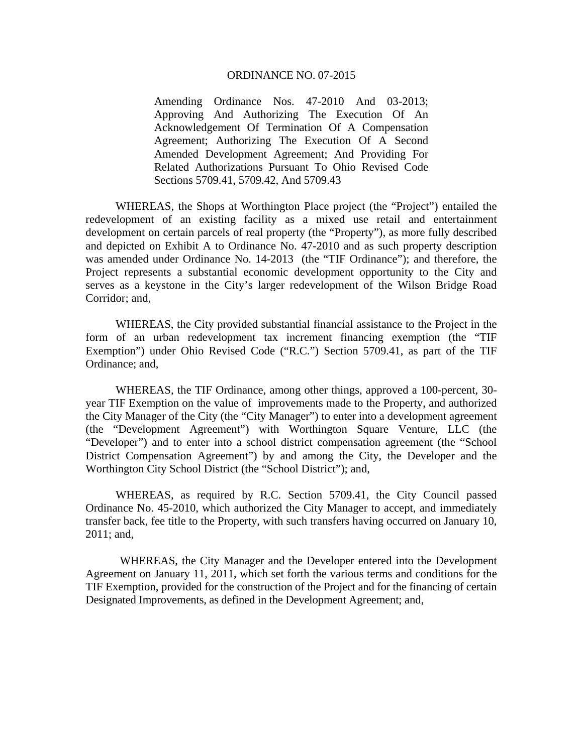Amending Ordinance Nos. 47-2010 And 03-2013; Approving And Authorizing The Execution Of An Acknowledgement Of Termination Of A Compensation Agreement; Authorizing The Execution Of A Second Amended Development Agreement; And Providing For Related Authorizations Pursuant To Ohio Revised Code Sections 5709.41, 5709.42, And 5709.43

 WHEREAS, the Shops at Worthington Place project (the "Project") entailed the redevelopment of an existing facility as a mixed use retail and entertainment development on certain parcels of real property (the "Property"), as more fully described and depicted on Exhibit A to Ordinance No. 47-2010 and as such property description was amended under Ordinance No. 14-2013 (the "TIF Ordinance"); and therefore, the Project represents a substantial economic development opportunity to the City and serves as a keystone in the City's larger redevelopment of the Wilson Bridge Road Corridor; and,

 WHEREAS, the City provided substantial financial assistance to the Project in the form of an urban redevelopment tax increment financing exemption (the "TIF Exemption") under Ohio Revised Code ("R.C.") Section 5709.41, as part of the TIF Ordinance; and,

 WHEREAS, the TIF Ordinance, among other things, approved a 100-percent, 30 year TIF Exemption on the value of improvements made to the Property, and authorized the City Manager of the City (the "City Manager") to enter into a development agreement (the "Development Agreement") with Worthington Square Venture, LLC (the "Developer") and to enter into a school district compensation agreement (the "School District Compensation Agreement") by and among the City, the Developer and the Worthington City School District (the "School District"); and,

 WHEREAS, as required by R.C. Section 5709.41, the City Council passed Ordinance No. 45-2010, which authorized the City Manager to accept, and immediately transfer back, fee title to the Property, with such transfers having occurred on January 10, 2011; and,

 WHEREAS, the City Manager and the Developer entered into the Development Agreement on January 11, 2011, which set forth the various terms and conditions for the TIF Exemption, provided for the construction of the Project and for the financing of certain Designated Improvements, as defined in the Development Agreement; and,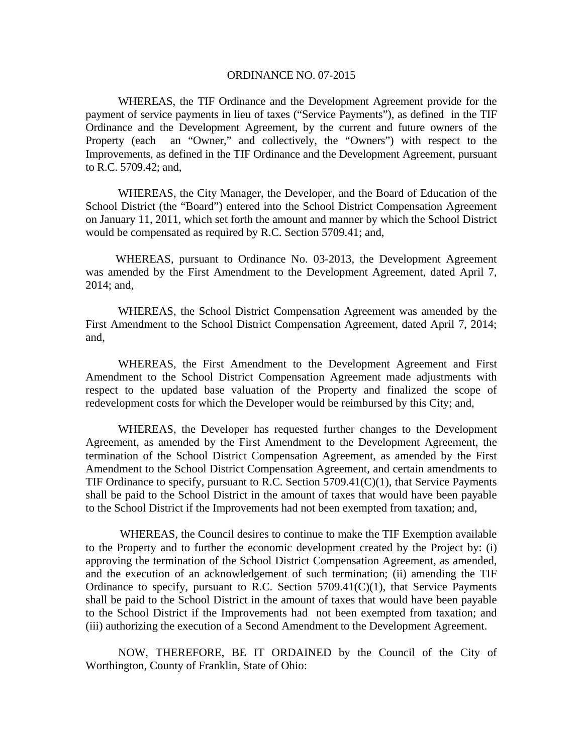WHEREAS, the TIF Ordinance and the Development Agreement provide for the payment of service payments in lieu of taxes ("Service Payments"), as defined in the TIF Ordinance and the Development Agreement, by the current and future owners of the Property (each an "Owner," and collectively, the "Owners") with respect to the Improvements, as defined in the TIF Ordinance and the Development Agreement, pursuant to R.C. 5709.42; and,

 WHEREAS, the City Manager, the Developer, and the Board of Education of the School District (the "Board") entered into the School District Compensation Agreement on January 11, 2011, which set forth the amount and manner by which the School District would be compensated as required by R.C. Section 5709.41; and,

 WHEREAS, pursuant to Ordinance No. 03-2013, the Development Agreement was amended by the First Amendment to the Development Agreement, dated April 7, 2014; and,

 WHEREAS, the School District Compensation Agreement was amended by the First Amendment to the School District Compensation Agreement, dated April 7, 2014; and,

 WHEREAS, the First Amendment to the Development Agreement and First Amendment to the School District Compensation Agreement made adjustments with respect to the updated base valuation of the Property and finalized the scope of redevelopment costs for which the Developer would be reimbursed by this City; and,

 WHEREAS, the Developer has requested further changes to the Development Agreement, as amended by the First Amendment to the Development Agreement, the termination of the School District Compensation Agreement, as amended by the First Amendment to the School District Compensation Agreement, and certain amendments to TIF Ordinance to specify, pursuant to R.C. Section 5709.41(C)(1), that Service Payments shall be paid to the School District in the amount of taxes that would have been payable to the School District if the Improvements had not been exempted from taxation; and,

 WHEREAS, the Council desires to continue to make the TIF Exemption available to the Property and to further the economic development created by the Project by: (i) approving the termination of the School District Compensation Agreement, as amended, and the execution of an acknowledgement of such termination; (ii) amending the TIF Ordinance to specify, pursuant to R.C. Section  $5709.41(C)(1)$ , that Service Payments shall be paid to the School District in the amount of taxes that would have been payable to the School District if the Improvements had not been exempted from taxation; and (iii) authorizing the execution of a Second Amendment to the Development Agreement.

 NOW, THEREFORE, BE IT ORDAINED by the Council of the City of Worthington, County of Franklin, State of Ohio: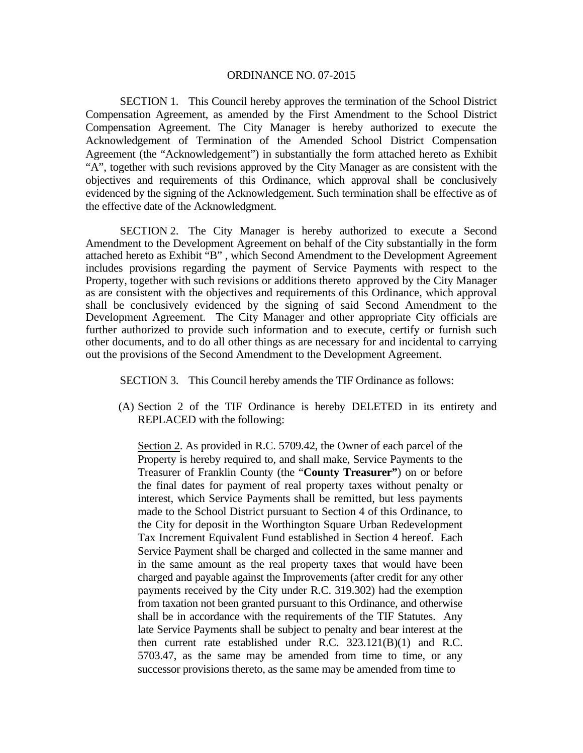SECTION 1. This Council hereby approves the termination of the School District Compensation Agreement, as amended by the First Amendment to the School District Compensation Agreement. The City Manager is hereby authorized to execute the Acknowledgement of Termination of the Amended School District Compensation Agreement (the "Acknowledgement") in substantially the form attached hereto as Exhibit "A", together with such revisions approved by the City Manager as are consistent with the objectives and requirements of this Ordinance, which approval shall be conclusively evidenced by the signing of the Acknowledgement. Such termination shall be effective as of the effective date of the Acknowledgment.

 SECTION 2. The City Manager is hereby authorized to execute a Second Amendment to the Development Agreement on behalf of the City substantially in the form attached hereto as Exhibit "B" , which Second Amendment to the Development Agreement includes provisions regarding the payment of Service Payments with respect to the Property, together with such revisions or additions thereto approved by the City Manager as are consistent with the objectives and requirements of this Ordinance, which approval shall be conclusively evidenced by the signing of said Second Amendment to the Development Agreement. The City Manager and other appropriate City officials are further authorized to provide such information and to execute, certify or furnish such other documents, and to do all other things as are necessary for and incidental to carrying out the provisions of the Second Amendment to the Development Agreement.

SECTION 3. This Council hereby amends the TIF Ordinance as follows:

(A) Section 2 of the TIF Ordinance is hereby DELETED in its entirety and REPLACED with the following:

Section 2. As provided in R.C. 5709.42, the Owner of each parcel of the Property is hereby required to, and shall make, Service Payments to the Treasurer of Franklin County (the "**County Treasurer"**) on or before the final dates for payment of real property taxes without penalty or interest, which Service Payments shall be remitted, but less payments made to the School District pursuant to Section 4 of this Ordinance, to the City for deposit in the Worthington Square Urban Redevelopment Tax Increment Equivalent Fund established in Section 4 hereof. Each Service Payment shall be charged and collected in the same manner and in the same amount as the real property taxes that would have been charged and payable against the Improvements (after credit for any other payments received by the City under R.C. 319.302) had the exemption from taxation not been granted pursuant to this Ordinance, and otherwise shall be in accordance with the requirements of the TIF Statutes. Any late Service Payments shall be subject to penalty and bear interest at the then current rate established under R.C. 323.121(B)(1) and R.C. 5703.47, as the same may be amended from time to time, or any successor provisions thereto, as the same may be amended from time to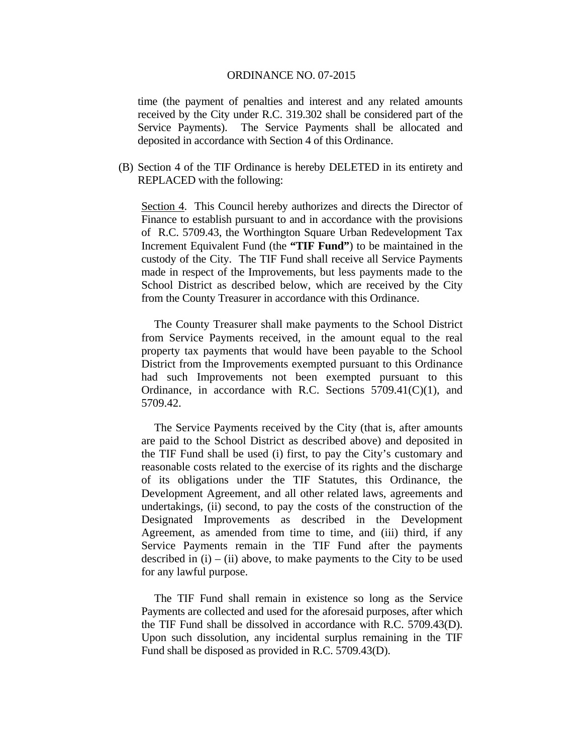time (the payment of penalties and interest and any related amounts received by the City under R.C. 319.302 shall be considered part of the Service Payments). The Service Payments shall be allocated and deposited in accordance with Section 4 of this Ordinance.

(B) Section 4 of the TIF Ordinance is hereby DELETED in its entirety and REPLACED with the following:

Section 4. This Council hereby authorizes and directs the Director of Finance to establish pursuant to and in accordance with the provisions of R.C. 5709.43, the Worthington Square Urban Redevelopment Tax Increment Equivalent Fund (the **"TIF Fund"**) to be maintained in the custody of the City. The TIF Fund shall receive all Service Payments made in respect of the Improvements, but less payments made to the School District as described below, which are received by the City from the County Treasurer in accordance with this Ordinance.

 The County Treasurer shall make payments to the School District from Service Payments received, in the amount equal to the real property tax payments that would have been payable to the School District from the Improvements exempted pursuant to this Ordinance had such Improvements not been exempted pursuant to this Ordinance, in accordance with R.C. Sections  $5709.41(C)(1)$ , and 5709.42.

 The Service Payments received by the City (that is, after amounts are paid to the School District as described above) and deposited in the TIF Fund shall be used (i) first, to pay the City's customary and reasonable costs related to the exercise of its rights and the discharge of its obligations under the TIF Statutes, this Ordinance, the Development Agreement, and all other related laws, agreements and undertakings, (ii) second, to pay the costs of the construction of the Designated Improvements as described in the Development Agreement, as amended from time to time, and (iii) third, if any Service Payments remain in the TIF Fund after the payments described in  $(i) - (ii)$  above, to make payments to the City to be used for any lawful purpose.

 The TIF Fund shall remain in existence so long as the Service Payments are collected and used for the aforesaid purposes, after which the TIF Fund shall be dissolved in accordance with R.C. 5709.43(D). Upon such dissolution, any incidental surplus remaining in the TIF Fund shall be disposed as provided in R.C. 5709.43(D).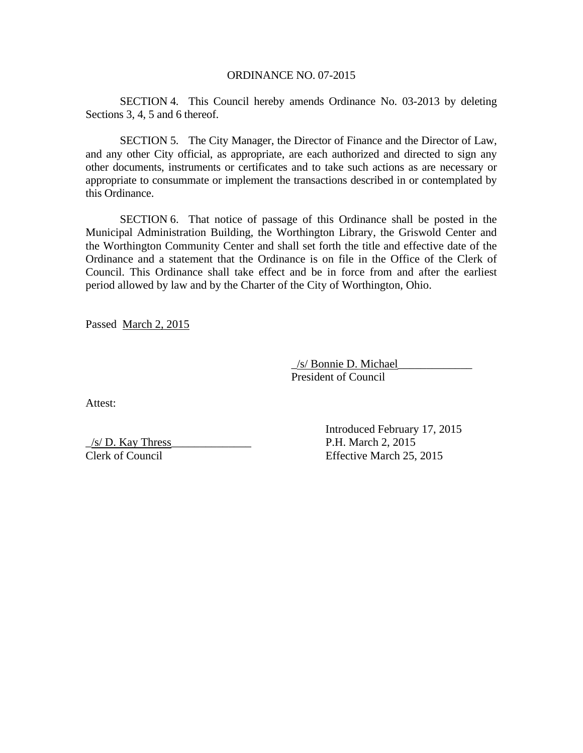SECTION 4. This Council hereby amends Ordinance No. 03-2013 by deleting Sections 3, 4, 5 and 6 thereof.

SECTION 5. The City Manager, the Director of Finance and the Director of Law, and any other City official, as appropriate, are each authorized and directed to sign any other documents, instruments or certificates and to take such actions as are necessary or appropriate to consummate or implement the transactions described in or contemplated by this Ordinance.

 SECTION 6. That notice of passage of this Ordinance shall be posted in the Municipal Administration Building, the Worthington Library, the Griswold Center and the Worthington Community Center and shall set forth the title and effective date of the Ordinance and a statement that the Ordinance is on file in the Office of the Clerk of Council. This Ordinance shall take effect and be in force from and after the earliest period allowed by law and by the Charter of the City of Worthington, Ohio.

Passed March 2, 2015

 \_/s/ Bonnie D. Michael\_\_\_\_\_\_\_\_\_\_\_\_\_ President of Council

Attest:

 $\frac{1}{s}$  P.H. March 2, 2015

 Introduced February 17, 2015 Clerk of Council Effective March 25, 2015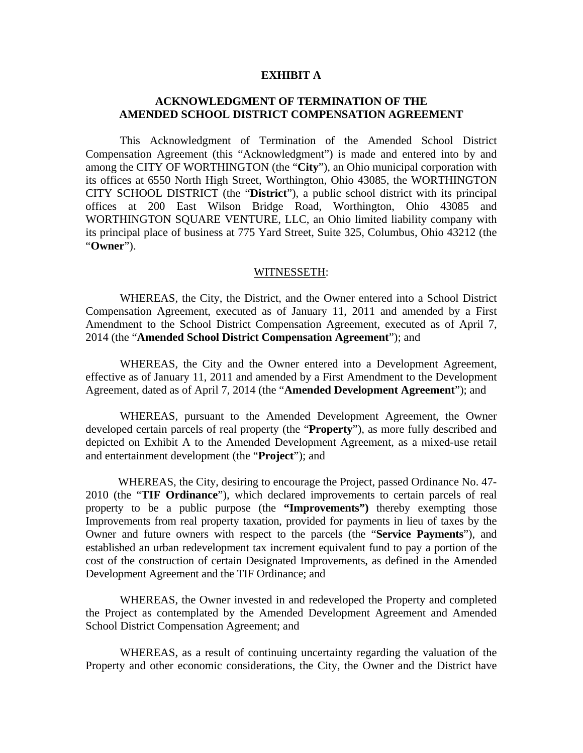## **EXHIBIT A**

## **ACKNOWLEDGMENT OF TERMINATION OF THE AMENDED SCHOOL DISTRICT COMPENSATION AGREEMENT**

 This Acknowledgment of Termination of the Amended School District Compensation Agreement (this "Acknowledgment") is made and entered into by and among the CITY OF WORTHINGTON (the "**City**"), an Ohio municipal corporation with its offices at 6550 North High Street, Worthington, Ohio 43085, the WORTHINGTON CITY SCHOOL DISTRICT (the "**District**"), a public school district with its principal offices at 200 East Wilson Bridge Road, Worthington, Ohio 43085 and WORTHINGTON SQUARE VENTURE, LLC, an Ohio limited liability company with its principal place of business at 775 Yard Street, Suite 325, Columbus, Ohio 43212 (the "**Owner**").

### WITNESSETH:

 WHEREAS, the City, the District, and the Owner entered into a School District Compensation Agreement, executed as of January 11, 2011 and amended by a First Amendment to the School District Compensation Agreement, executed as of April 7, 2014 (the "**Amended School District Compensation Agreement**"); and

 WHEREAS, the City and the Owner entered into a Development Agreement, effective as of January 11, 2011 and amended by a First Amendment to the Development Agreement, dated as of April 7, 2014 (the "**Amended Development Agreement**"); and

 WHEREAS, pursuant to the Amended Development Agreement, the Owner developed certain parcels of real property (the "**Property**"), as more fully described and depicted on Exhibit A to the Amended Development Agreement, as a mixed-use retail and entertainment development (the "**Project**"); and

 WHEREAS, the City, desiring to encourage the Project, passed Ordinance No. 47- 2010 (the "**TIF Ordinance**"), which declared improvements to certain parcels of real property to be a public purpose (the **"Improvements")** thereby exempting those Improvements from real property taxation, provided for payments in lieu of taxes by the Owner and future owners with respect to the parcels (the "**Service Payments**"), and established an urban redevelopment tax increment equivalent fund to pay a portion of the cost of the construction of certain Designated Improvements, as defined in the Amended Development Agreement and the TIF Ordinance; and

 WHEREAS, the Owner invested in and redeveloped the Property and completed the Project as contemplated by the Amended Development Agreement and Amended School District Compensation Agreement; and

 WHEREAS, as a result of continuing uncertainty regarding the valuation of the Property and other economic considerations, the City, the Owner and the District have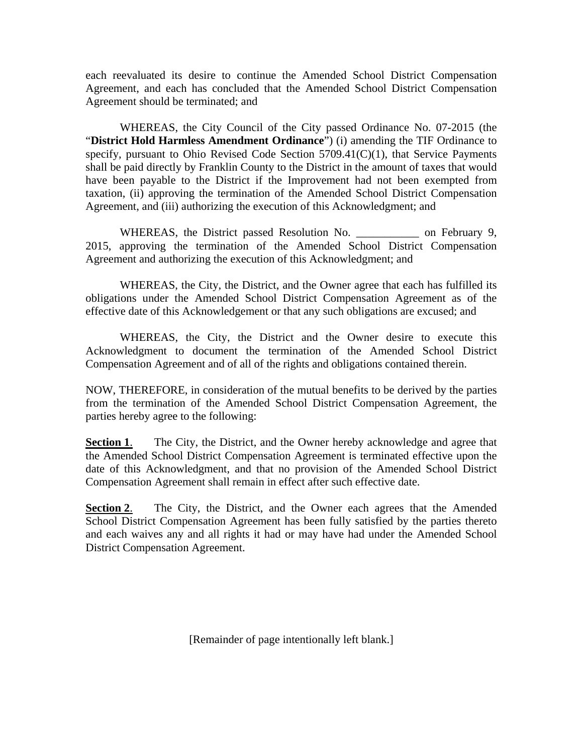each reevaluated its desire to continue the Amended School District Compensation Agreement, and each has concluded that the Amended School District Compensation Agreement should be terminated; and

 WHEREAS, the City Council of the City passed Ordinance No. 07-2015 (the "**District Hold Harmless Amendment Ordinance**") (i) amending the TIF Ordinance to specify, pursuant to Ohio Revised Code Section 5709.41(C)(1), that Service Payments shall be paid directly by Franklin County to the District in the amount of taxes that would have been payable to the District if the Improvement had not been exempted from taxation, (ii) approving the termination of the Amended School District Compensation Agreement, and (iii) authorizing the execution of this Acknowledgment; and

WHEREAS, the District passed Resolution No. \_\_\_\_\_\_\_\_\_\_\_\_ on February 9, 2015, approving the termination of the Amended School District Compensation Agreement and authorizing the execution of this Acknowledgment; and

 WHEREAS, the City, the District, and the Owner agree that each has fulfilled its obligations under the Amended School District Compensation Agreement as of the effective date of this Acknowledgement or that any such obligations are excused; and

 WHEREAS, the City, the District and the Owner desire to execute this Acknowledgment to document the termination of the Amended School District Compensation Agreement and of all of the rights and obligations contained therein.

NOW, THEREFORE, in consideration of the mutual benefits to be derived by the parties from the termination of the Amended School District Compensation Agreement, the parties hereby agree to the following:

**Section 1.** The City, the District, and the Owner hereby acknowledge and agree that the Amended School District Compensation Agreement is terminated effective upon the date of this Acknowledgment, and that no provision of the Amended School District Compensation Agreement shall remain in effect after such effective date.

**Section 2.** The City, the District, and the Owner each agrees that the Amended School District Compensation Agreement has been fully satisfied by the parties thereto and each waives any and all rights it had or may have had under the Amended School District Compensation Agreement.

[Remainder of page intentionally left blank.]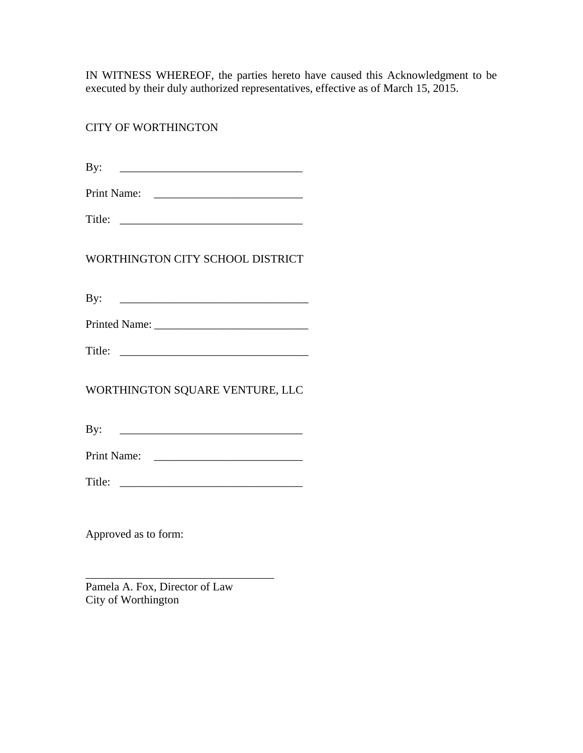IN WITNESS WHEREOF, the parties hereto have caused this Acknowledgment to be executed by their duly authorized representatives, effective as of March 15, 2015.

CITY OF WORTHINGTON

| т |  |
|---|--|
|   |  |

| Print Name: |  |
|-------------|--|
|-------------|--|

WORTHINGTON CITY SCHOOL DISTRICT

| T |  |
|---|--|
|   |  |

| <b>Printed Name:</b> |  |
|----------------------|--|
|----------------------|--|

WORTHINGTON SQUARE VENTURE, LLC

By:  $\qquad \qquad$ 

Print Name: \_\_\_\_\_\_\_\_\_\_\_\_\_\_\_\_\_\_\_\_\_\_\_\_\_\_

Title: \_\_\_\_\_\_\_\_\_\_\_\_\_\_\_\_\_\_\_\_\_\_\_\_\_\_\_\_\_\_\_\_

Approved as to form:

Pamela A. Fox, Director of Law City of Worthington

\_\_\_\_\_\_\_\_\_\_\_\_\_\_\_\_\_\_\_\_\_\_\_\_\_\_\_\_\_\_\_\_\_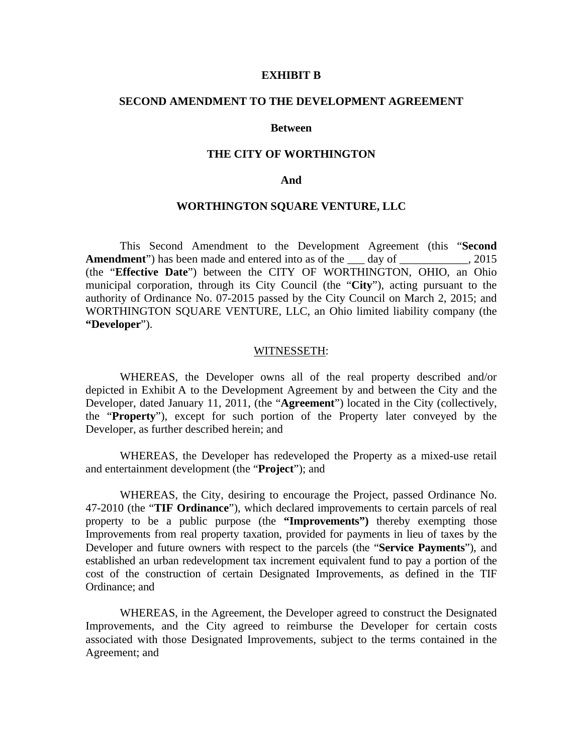### **EXHIBIT B**

## **SECOND AMENDMENT TO THE DEVELOPMENT AGREEMENT**

### **Between**

## **THE CITY OF WORTHINGTON**

### **And**

## **WORTHINGTON SQUARE VENTURE, LLC**

This Second Amendment to the Development Agreement (this "**Second Amendment**") has been made and entered into as of the day of . 2015 (the "**Effective Date**") between the CITY OF WORTHINGTON, OHIO, an Ohio municipal corporation, through its City Council (the "**City**"), acting pursuant to the authority of Ordinance No. 07-2015 passed by the City Council on March 2, 2015; and WORTHINGTON SQUARE VENTURE, LLC, an Ohio limited liability company (the **"Developer**").

## WITNESSETH:

 WHEREAS, the Developer owns all of the real property described and/or depicted in Exhibit A to the Development Agreement by and between the City and the Developer, dated January 11, 2011, (the "**Agreement**") located in the City (collectively, the "**Property**"), except for such portion of the Property later conveyed by the Developer, as further described herein; and

WHEREAS, the Developer has redeveloped the Property as a mixed-use retail and entertainment development (the "**Project**"); and

WHEREAS, the City, desiring to encourage the Project, passed Ordinance No. 47-2010 (the "**TIF Ordinance**"), which declared improvements to certain parcels of real property to be a public purpose (the **"Improvements")** thereby exempting those Improvements from real property taxation, provided for payments in lieu of taxes by the Developer and future owners with respect to the parcels (the "**Service Payments**"), and established an urban redevelopment tax increment equivalent fund to pay a portion of the cost of the construction of certain Designated Improvements, as defined in the TIF Ordinance; and

WHEREAS, in the Agreement, the Developer agreed to construct the Designated Improvements, and the City agreed to reimburse the Developer for certain costs associated with those Designated Improvements, subject to the terms contained in the Agreement; and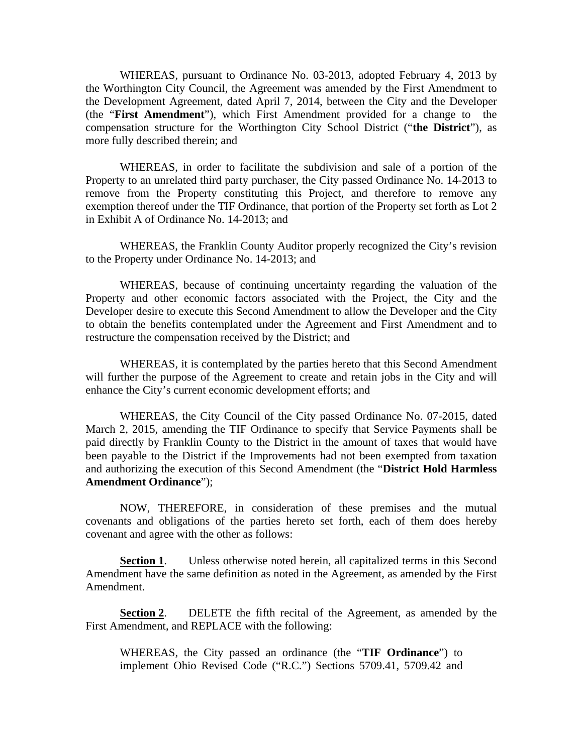WHEREAS, pursuant to Ordinance No. 03-2013, adopted February 4, 2013 by the Worthington City Council, the Agreement was amended by the First Amendment to the Development Agreement, dated April 7, 2014, between the City and the Developer (the "**First Amendment**"), which First Amendment provided for a change to the compensation structure for the Worthington City School District ("**the District**"), as more fully described therein; and

WHEREAS, in order to facilitate the subdivision and sale of a portion of the Property to an unrelated third party purchaser, the City passed Ordinance No. 14-2013 to remove from the Property constituting this Project, and therefore to remove any exemption thereof under the TIF Ordinance, that portion of the Property set forth as Lot 2 in Exhibit A of Ordinance No. 14-2013; and

WHEREAS, the Franklin County Auditor properly recognized the City's revision to the Property under Ordinance No. 14-2013; and

WHEREAS, because of continuing uncertainty regarding the valuation of the Property and other economic factors associated with the Project, the City and the Developer desire to execute this Second Amendment to allow the Developer and the City to obtain the benefits contemplated under the Agreement and First Amendment and to restructure the compensation received by the District; and

WHEREAS, it is contemplated by the parties hereto that this Second Amendment will further the purpose of the Agreement to create and retain jobs in the City and will enhance the City's current economic development efforts; and

WHEREAS, the City Council of the City passed Ordinance No. 07-2015, dated March 2, 2015, amending the TIF Ordinance to specify that Service Payments shall be paid directly by Franklin County to the District in the amount of taxes that would have been payable to the District if the Improvements had not been exempted from taxation and authorizing the execution of this Second Amendment (the "**District Hold Harmless Amendment Ordinance**");

NOW, THEREFORE, in consideration of these premises and the mutual covenants and obligations of the parties hereto set forth, each of them does hereby covenant and agree with the other as follows:

**Section 1.** Unless otherwise noted herein, all capitalized terms in this Second Amendment have the same definition as noted in the Agreement, as amended by the First Amendment.

**Section 2**. DELETE the fifth recital of the Agreement, as amended by the First Amendment, and REPLACE with the following:

WHEREAS, the City passed an ordinance (the "**TIF Ordinance**") to implement Ohio Revised Code ("R.C.") Sections 5709.41, 5709.42 and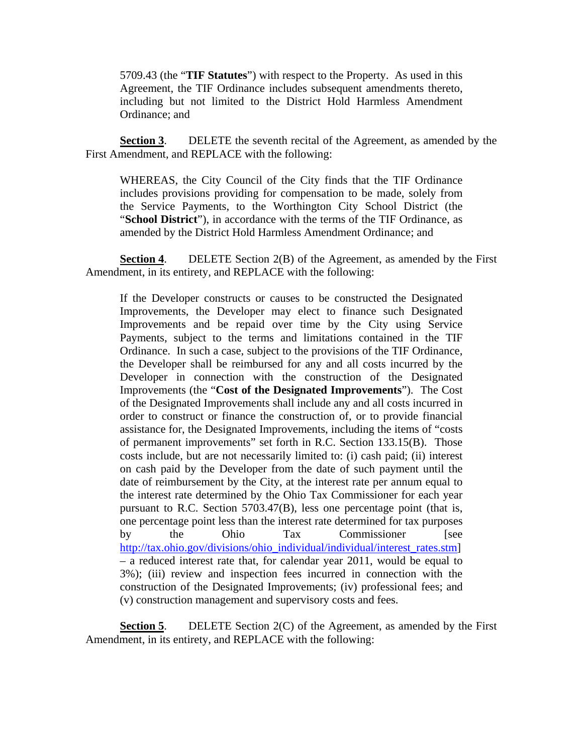5709.43 (the "**TIF Statutes**") with respect to the Property. As used in this Agreement, the TIF Ordinance includes subsequent amendments thereto, including but not limited to the District Hold Harmless Amendment Ordinance; and

**Section 3**. DELETE the seventh recital of the Agreement, as amended by the First Amendment, and REPLACE with the following:

WHEREAS, the City Council of the City finds that the TIF Ordinance includes provisions providing for compensation to be made, solely from the Service Payments, to the Worthington City School District (the "**School District**"), in accordance with the terms of the TIF Ordinance, as amended by the District Hold Harmless Amendment Ordinance; and

**Section 4.** DELETE Section 2(B) of the Agreement, as amended by the First Amendment, in its entirety, and REPLACE with the following:

If the Developer constructs or causes to be constructed the Designated Improvements, the Developer may elect to finance such Designated Improvements and be repaid over time by the City using Service Payments, subject to the terms and limitations contained in the TIF Ordinance. In such a case, subject to the provisions of the TIF Ordinance, the Developer shall be reimbursed for any and all costs incurred by the Developer in connection with the construction of the Designated Improvements (the "**Cost of the Designated Improvements**"). The Cost of the Designated Improvements shall include any and all costs incurred in order to construct or finance the construction of, or to provide financial assistance for, the Designated Improvements, including the items of "costs of permanent improvements" set forth in R.C. Section 133.15(B). Those costs include, but are not necessarily limited to: (i) cash paid; (ii) interest on cash paid by the Developer from the date of such payment until the date of reimbursement by the City, at the interest rate per annum equal to the interest rate determined by the Ohio Tax Commissioner for each year pursuant to R.C. Section 5703.47(B), less one percentage point (that is, one percentage point less than the interest rate determined for tax purposes by the Ohio Tax Commissioner [see http://tax.ohio.gov/divisions/ohio\_individual/individual/interest\_rates.stm] – a reduced interest rate that, for calendar year 2011, would be equal to 3%); (iii) review and inspection fees incurred in connection with the construction of the Designated Improvements; (iv) professional fees; and (v) construction management and supervisory costs and fees.

**Section 5.** DELETE Section 2(C) of the Agreement, as amended by the First Amendment, in its entirety, and REPLACE with the following: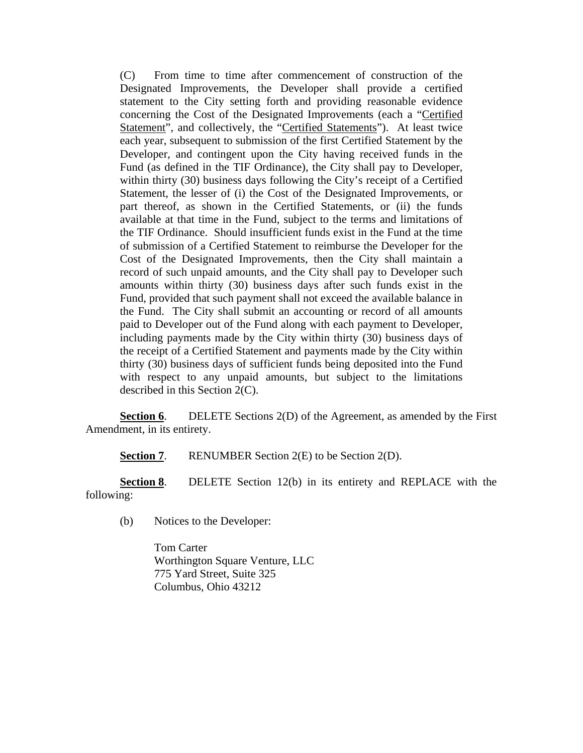(C) From time to time after commencement of construction of the Designated Improvements, the Developer shall provide a certified statement to the City setting forth and providing reasonable evidence concerning the Cost of the Designated Improvements (each a "Certified Statement", and collectively, the "Certified Statements"). At least twice each year, subsequent to submission of the first Certified Statement by the Developer, and contingent upon the City having received funds in the Fund (as defined in the TIF Ordinance), the City shall pay to Developer, within thirty (30) business days following the City's receipt of a Certified Statement, the lesser of (i) the Cost of the Designated Improvements, or part thereof, as shown in the Certified Statements, or (ii) the funds available at that time in the Fund, subject to the terms and limitations of the TIF Ordinance. Should insufficient funds exist in the Fund at the time of submission of a Certified Statement to reimburse the Developer for the Cost of the Designated Improvements, then the City shall maintain a record of such unpaid amounts, and the City shall pay to Developer such amounts within thirty (30) business days after such funds exist in the Fund, provided that such payment shall not exceed the available balance in the Fund. The City shall submit an accounting or record of all amounts paid to Developer out of the Fund along with each payment to Developer, including payments made by the City within thirty (30) business days of the receipt of a Certified Statement and payments made by the City within thirty (30) business days of sufficient funds being deposited into the Fund with respect to any unpaid amounts, but subject to the limitations described in this Section 2(C).

**Section 6.** DELETE Sections 2(D) of the Agreement, as amended by the First Amendment, in its entirety.

**Section 7.** RENUMBER Section 2(E) to be Section 2(D).

**Section 8**. DELETE Section 12(b) in its entirety and REPLACE with the following:

(b) Notices to the Developer:

 Tom Carter Worthington Square Venture, LLC 775 Yard Street, Suite 325 Columbus, Ohio 43212